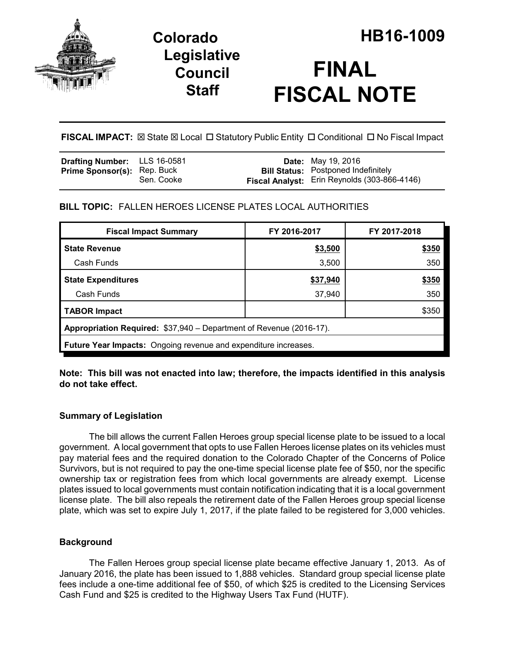

# **Legislative Council Staff**



**FISCAL IMPACT:** ⊠ State ⊠ Local □ Statutory Public Entity □ Conditional □ No Fiscal Impact

| <b>Drafting Number:</b> LLS 16-0581 |            | <b>Date:</b> May 19, 2016                    |
|-------------------------------------|------------|----------------------------------------------|
| <b>Prime Sponsor(s): Rep. Buck</b>  |            | <b>Bill Status:</b> Postponed Indefinitely   |
|                                     | Sen. Cooke | Fiscal Analyst: Erin Reynolds (303-866-4146) |

## **BILL TOPIC:** FALLEN HEROES LICENSE PLATES LOCAL AUTHORITIES

| <b>Fiscal Impact Summary</b>                                           | FY 2016-2017 | FY 2017-2018 |  |  |  |  |
|------------------------------------------------------------------------|--------------|--------------|--|--|--|--|
| <b>State Revenue</b>                                                   | \$3,500      | \$350        |  |  |  |  |
| Cash Funds                                                             | 3,500        | 350          |  |  |  |  |
| <b>State Expenditures</b>                                              | \$37,940     | \$350        |  |  |  |  |
| Cash Funds                                                             | 37,940       | 350          |  |  |  |  |
| <b>TABOR Impact</b>                                                    |              | \$350        |  |  |  |  |
| Appropriation Required: \$37,940 – Department of Revenue (2016-17).    |              |              |  |  |  |  |
| <b>Future Year Impacts:</b> Ongoing revenue and expenditure increases. |              |              |  |  |  |  |

**Note: This bill was not enacted into law; therefore, the impacts identified in this analysis do not take effect.**

## **Summary of Legislation**

The bill allows the current Fallen Heroes group special license plate to be issued to a local government. A local government that opts to use Fallen Heroes license plates on its vehicles must pay material fees and the required donation to the Colorado Chapter of the Concerns of Police Survivors, but is not required to pay the one-time special license plate fee of \$50, nor the specific ownership tax or registration fees from which local governments are already exempt. License plates issued to local governments must contain notification indicating that it is a local government license plate. The bill also repeals the retirement date of the Fallen Heroes group special license plate, which was set to expire July 1, 2017, if the plate failed to be registered for 3,000 vehicles.

## **Background**

The Fallen Heroes group special license plate became effective January 1, 2013. As of January 2016, the plate has been issued to 1,888 vehicles. Standard group special license plate fees include a one-time additional fee of \$50, of which \$25 is credited to the Licensing Services Cash Fund and \$25 is credited to the Highway Users Tax Fund (HUTF).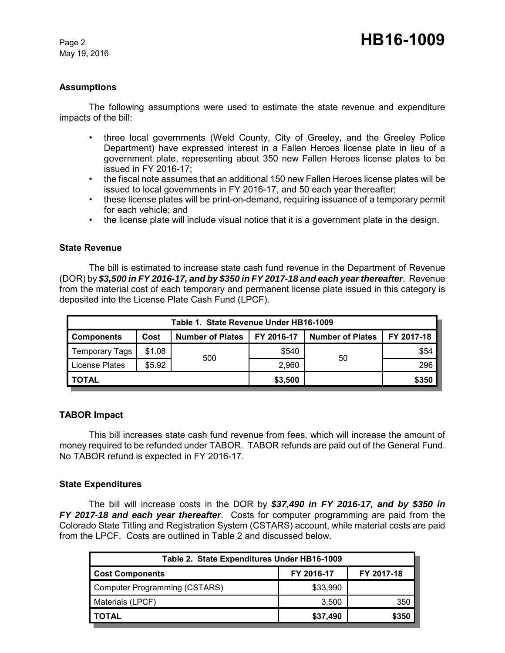May 19, 2016

#### **Assumptions**

The following assumptions were used to estimate the state revenue and expenditure impacts of the bill:

- three local governments (Weld County, City of Greeley, and the Greeley Police Department) have expressed interest in a Fallen Heroes license plate in lieu of a government plate, representing about 350 new Fallen Heroes license plates to be issued in FY 2016-17;
- the fiscal note assumes that an additional 150 new Fallen Heroes license plates will be issued to local governments in FY 2016-17, and 50 each year thereafter;
- these license plates will be print-on-demand, requiring issuance of a temporary permit for each vehicle; and
- the license plate will include visual notice that it is a government plate in the design.

#### **State Revenue**

The bill is estimated to increase state cash fund revenue in the Department of Revenue (DOR) by *\$3,500 in FY 2016-17, and by \$350 in FY 2017-18 and each year thereafter*. Revenue from the material cost of each temporary and permanent license plate issued in this category is deposited into the License Plate Cash Fund (LPCF).

| Table 1. State Revenue Under HB16-1009 |        |                         |            |                         |            |  |  |
|----------------------------------------|--------|-------------------------|------------|-------------------------|------------|--|--|
| <b>Components</b>                      | Cost   | <b>Number of Plates</b> | FY 2016-17 | <b>Number of Plates</b> | FY 2017-18 |  |  |
| <b>Temporary Tags</b>                  | \$1.08 |                         | \$540      | 50                      | \$54       |  |  |
| License Plates                         | \$5.92 | 500                     | 2,960      |                         | 296        |  |  |
| I TOTAL                                |        | \$3,500                 |            | \$350                   |            |  |  |

#### **TABOR Impact**

This bill increases state cash fund revenue from fees, which will increase the amount of money required to be refunded under TABOR. TABOR refunds are paid out of the General Fund. No TABOR refund is expected in FY 2016-17.

#### **State Expenditures**

The bill will increase costs in the DOR by *\$37,490 in FY 2016-17, and by \$350 in FY 2017-18 and each year thereafter*. Costs for computer programming are paid from the Colorado State Titling and Registration System (CSTARS) account, while material costs are paid from the LPCF. Costs are outlined in Table 2 and discussed below.

| Table 2. State Expenditures Under HB16-1009 |            |            |  |  |  |  |
|---------------------------------------------|------------|------------|--|--|--|--|
| <b>Cost Components</b>                      | FY 2016-17 | FY 2017-18 |  |  |  |  |
| Computer Programming (CSTARS)               | \$33,990   |            |  |  |  |  |
| Materials (LPCF)                            | 3.500      | 350        |  |  |  |  |
| <b>TOTAL</b>                                | \$37,490   | \$350      |  |  |  |  |